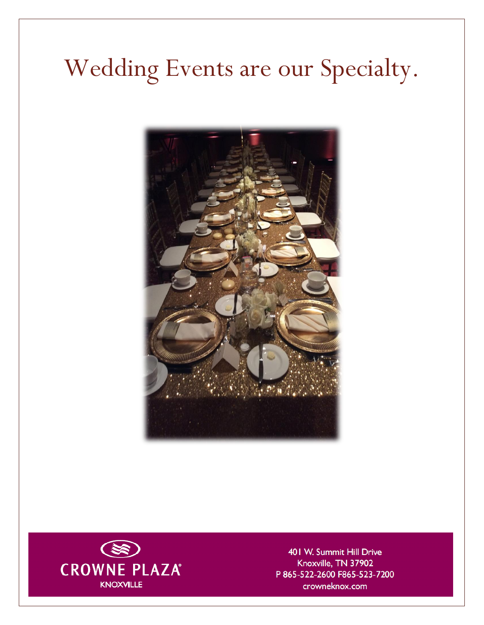# Wedding Events are our Specialty.





401 W. Summit Hill Drive Knoxville, TN 37902 P 865-522-2600 F865-523-7200 crowneknox.com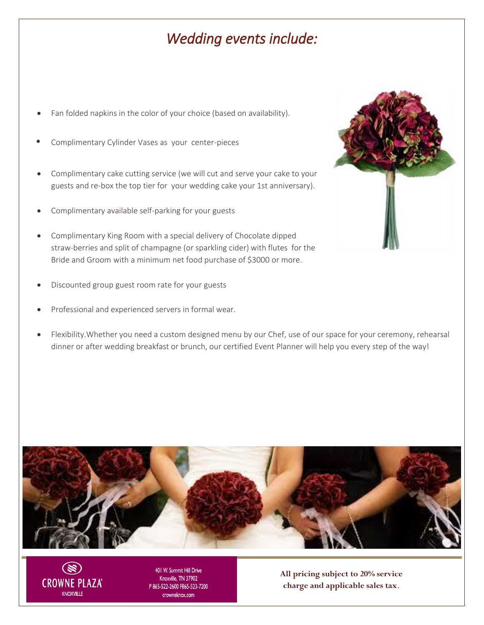## *Wedding events include:*

- Fan folded napkins in the color of your choice (based on availability).
- Complimentary Cylinder Vases as your center-pieces
- Complimentary cake cutting service (we will cut and serve your cake to your guests and re-box the top tier for your wedding cake your 1st anniversary).
- Complimentary available self-parking for your guests
- Complimentary King Room with a special delivery of Chocolate dipped straw-berries and split of champagne (or sparkling cider) with flutes for the Bride and Groom with a minimum net food purchase of \$3000 or more.
- Discounted group guest room rate for your guests
- Professional and experienced servers in formal wear.
- Flexibility.Whether you need a custom designed menu by our Chef, use of our space for your ceremony, rehearsal dinner or after wedding breakfast or brunch, our certified Event Planner will help you every step of the way!





401 W. Summit Hill Drive Knoxville, TN 37902 P865-522-2600 F865-523-7200 crowneknox.com

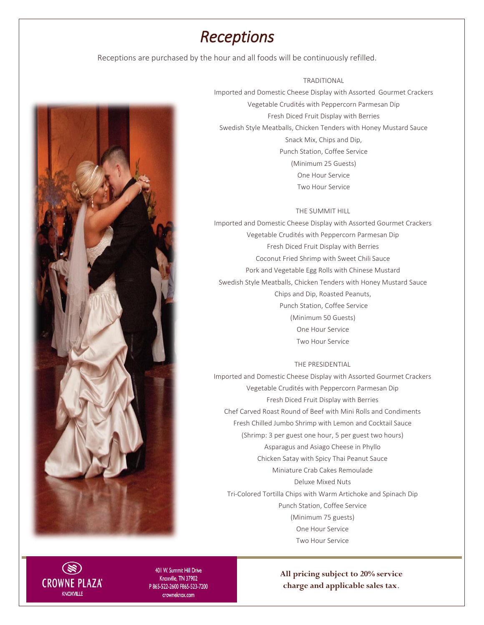### *Receptions*

Receptions are purchased by the hour and all foods will be continuously refilled.



TRADITIONAL Imported and Domestic Cheese Display with Assorted Gourmet Crackers Vegetable Crudités with Peppercorn Parmesan Dip Fresh Diced Fruit Display with Berries Swedish Style Meatballs, Chicken Tenders with Honey Mustard Sauce

> Snack Mix, Chips and Dip, Punch Station, Coffee Service (Minimum 25 Guests) One Hour Service Two Hour Service

#### THE SUMMIT HILL

Imported and Domestic Cheese Display with Assorted Gourmet Crackers Vegetable Crudités with Peppercorn Parmesan Dip Fresh Diced Fruit Display with Berries Coconut Fried Shrimp with Sweet Chili Sauce Pork and Vegetable Egg Rolls with Chinese Mustard Swedish Style Meatballs, Chicken Tenders with Honey Mustard Sauce Chips and Dip, Roasted Peanuts, Punch Station, Coffee Service (Minimum 50 Guests) One Hour Service Two Hour Service

#### THE PRESIDENTIAL

Imported and Domestic Cheese Display with Assorted Gourmet Crackers Vegetable Crudités with Peppercorn Parmesan Dip Fresh Diced Fruit Display with Berries Chef Carved Roast Round of Beef with Mini Rolls and Condiments Fresh Chilled Jumbo Shrimp with Lemon and Cocktail Sauce (Shrimp: 3 per guest one hour, 5 per guest two hours) Asparagus and Asiago Cheese in Phyllo Chicken Satay with Spicy Thai Peanut Sauce Miniature Crab Cakes Remoulade Deluxe Mixed Nuts Tri-Colored Tortilla Chips with Warm Artichoke and Spinach Dip Punch Station, Coffee Service (Minimum 75 guests) One Hour Service Two Hour Service



401 W. Summit Hill Drive Knoxville, TN 37902 P865-522-2600 F865-523-7200 crowneknox.com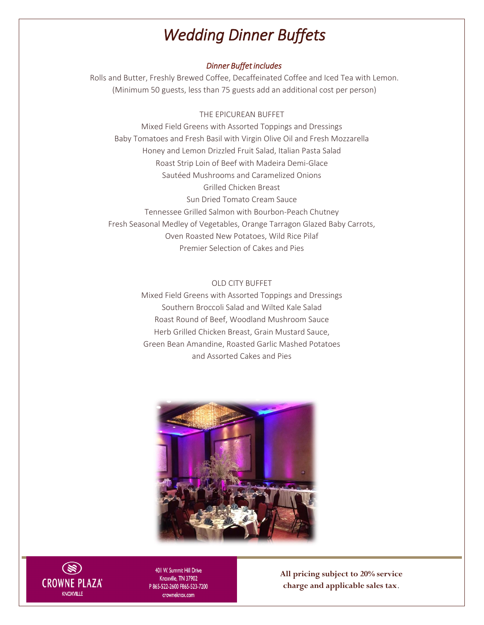# *Wedding Dinner Buffets*

#### *Dinner Buffet includes*

Rolls and Butter, Freshly Brewed Coffee, Decaffeinated Coffee and Iced Tea with Lemon. (Minimum 50 guests, less than 75 guests add an additional cost per person)

#### THE EPICUREAN BUFFET

Mixed Field Greens with Assorted Toppings and Dressings Baby Tomatoes and Fresh Basil with Virgin Olive Oil and Fresh Mozzarella Honey and Lemon Drizzled Fruit Salad, Italian Pasta Salad Roast Strip Loin of Beef with Madeira Demi-Glace Sautéed Mushrooms and Caramelized Onions Grilled Chicken Breast Sun Dried Tomato Cream Sauce Tennessee Grilled Salmon with Bourbon-Peach Chutney Fresh Seasonal Medley of Vegetables, Orange Tarragon Glazed Baby Carrots, Oven Roasted New Potatoes, Wild Rice Pilaf Premier Selection of Cakes and Pies

#### OLD CITY BUFFET

Mixed Field Greens with Assorted Toppings and Dressings Southern Broccoli Salad and Wilted Kale Salad Roast Round of Beef, Woodland Mushroom Sauce Herb Grilled Chicken Breast, Grain Mustard Sauce, Green Bean Amandine, Roasted Garlic Mashed Potatoes and Assorted Cakes and Pies





401 W. Summit Hill Drive Knoxville, TN 37902 P865-522-2600 F865-523-7200 crowneknox.com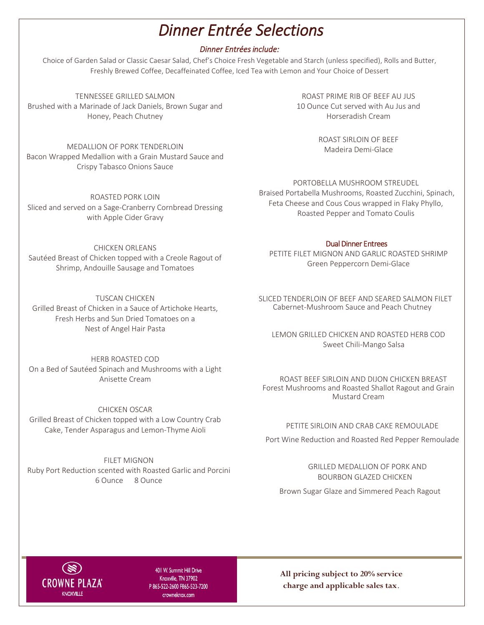# *Dinner Entrée Selections*

### *Dinner Entrées include:*

Choice of Garden Salad or Classic Caesar Salad, Chef's Choice Fresh Vegetable and Starch (unless specified), Rolls and Butter, Freshly Brewed Coffee, Decaffeinated Coffee, Iced Tea with Lemon and Your Choice of Dessert

TENNESSEE GRILLED SALMON Brushed with a Marinade of Jack Daniels, Brown Sugar and Honey, Peach Chutney

MEDALLION OF PORK TENDERLOIN Bacon Wrapped Medallion with a Grain Mustard Sauce and Crispy Tabasco Onions Sauce

ROASTED PORK LOIN Sliced and served on a Sage-Cranberry Cornbread Dressing with Apple Cider Gravy

CHICKEN ORLEANS

Sautéed Breast of Chicken topped with a Creole Ragout of Shrimp, Andouille Sausage and Tomatoes

TUSCAN CHICKEN Grilled Breast of Chicken in a Sauce of Artichoke Hearts, Fresh Herbs and Sun Dried Tomatoes on a Nest of Angel Hair Pasta

HERB ROASTED COD On a Bed of Sautéed Spinach and Mushrooms with a Light Anisette Cream

CHICKEN OSCAR Grilled Breast of Chicken topped with a Low Country Crab Cake, Tender Asparagus and Lemon-Thyme Aioli

FILET MIGNON Ruby Port Reduction scented with Roasted Garlic and Porcini 6 Ounce 8 Ounce

ROAST PRIME RIB OF BEEF AU JUS 10 Ounce Cut served with Au Jus and Horseradish Cream

> ROAST SIRLOIN OF BEEF Madeira Demi-Glace

PORTOBELLA MUSHROOM STREUDEL

Braised Portabella Mushrooms, Roasted Zucchini, Spinach, Feta Cheese and Cous Cous wrapped in Flaky Phyllo, Roasted Pepper and Tomato Coulis

#### Dual Dinner Entrees

PETITE FILET MIGNON AND GARLIC ROASTED SHRIMP Green Peppercorn Demi-Glace

SLICED TENDERLOIN OF BEEF AND SEARED SALMON FILET<br>Cabernet-Mushroom Sauce and Peach Chutney Cabernet-Mushroom Sauce and Peach Chutney

LEMON GRILLED CHICKEN AND ROASTED HERB COD Sweet Chili-Mango Salsa

 Forest Mushrooms and Roasted Shallot Ragout and Grain ROAST BEEF SIRLOIN AND DIJON CHICKEN BREAST Mustard Cream

PETITE SIRLOIN AND CRAB CAKE REMOULADE

Port Wine Reduction and Roasted Red Pepper Remoulade

GRI LLED MEDALLION OF PORK AND BOURBON GLAZED CHICKEN

Brown Sugar Glaze and Simmered Peach Ragout



401 W. Summit Hill Drive Knoxville, TN 37902 P865-522-2600 F865-523-7200 crowneknox.com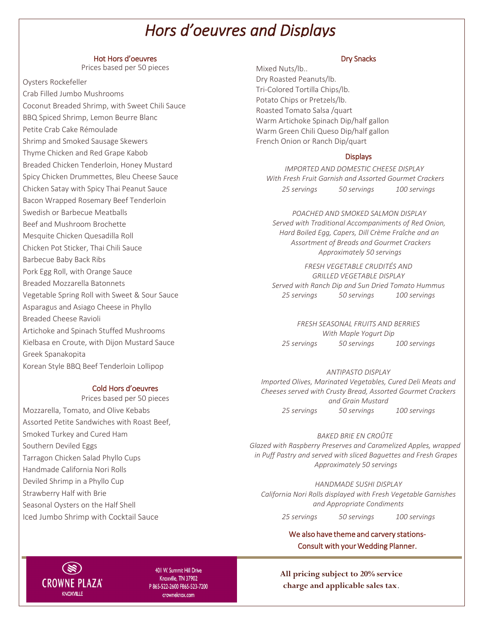## *Hors d'oeuvres and Displays*

#### Hot Hors d'oeuvres

Prices based per 50 pieces

Oysters Rockefeller

Crab Filled Jumbo Mushrooms Coconut Breaded Shrimp, with Sweet Chili Sauce BBQ Spiced Shrimp, Lemon Beurre Blanc Petite Crab Cake Rémoulade Shrimp and Smoked Sausage Skewers Thyme Chicken and Red Grape Kabob Breaded Chicken Tenderloin, Honey Mustard Spicy Chicken Drummettes, Bleu Cheese Sauce Chicken Satay with Spicy Thai Peanut Sauce Bacon Wrapped Rosemary Beef Tenderloin Swedish or Barbecue Meatballs Beef and Mushroom Brochette Mesquite Chicken Quesadilla Roll Chicken Pot Sticker, Thai Chili Sauce Barbecue Baby Back Ribs Pork Egg Roll, with Orange Sauce Breaded Mozzarella Batonnets Vegetable Spring Roll with Sweet & Sour Sauce Asparagus and Asiago Cheese in Phyllo Breaded Cheese Ravioli Artichoke and Spinach Stuffed Mushrooms Kielbasa en Croute, with Dijon Mustard Sauce Greek Spanakopita Korean Style BBQ Beef Tenderloin Lollipop

#### Cold Hors d'oeuvres

Prices based per 50 pieces Mozzarella, Tomato, and Olive Kebabs Assorted Petite Sandwiches with Roast Beef, Smoked Turkey and Cured Ham Southern Deviled Eggs Tarragon Chicken Salad Phyllo Cups Handmade California Nori Rolls Deviled Shrimp in a Phyllo Cup Strawberry Half with Brie Seasonal Oysters on the Half Shell Iced Jumbo Shrimp with Cocktail Sauce

#### Dry Snacks

Mixed Nuts/lb.. Dry Roasted Peanuts/lb. Tri-Colored Tortilla Chips/lb. Potato Chips or Pretzels/lb. Roasted Tomato Salsa /quart Warm Artichoke Spinach Dip/half gallon Warm Green Chili Queso Dip/half gallon French Onion or Ranch Dip/quart

#### **Displays**

*IMPORTED AND DOMESTIC CHEESE DISPLAY With Fresh Fruit Garnish and Assorted Gourmet Crackers 25 servings 50 servings 100 servings* 

*POACHED AND SMOKED SALMON DISPLAY Served with Traditional Accompaniments of Red Onion, Hard Boiled Egg, Capers, Dill Crème Fraîche and an Assortment of Breads and Gourmet Crackers Approximately 50 servings* 

*FRESH VEGETABLE CRUDITÉS AND GRILLED VEGETABLE DISPLAY Served with Ranch Dip and Sun Dried Tomato Hummus 25 servings 50 servings 100 servings* 

*FRESH SEASONAL FRUITS AND BERRIES With Maple Yogurt Dip 25 servings 50 servings 100 servings* 

*ANTIPASTO DISPLAY Imported Olives, Marinated Vegetables, Cured Deli Meats and Cheeses served with Crusty Bread, Assorted Gourmet Crackers and Grain Mustard 25 servings 50 servings 100 servings* 

*BAKED BRIE EN CROÛTE Glazed with Raspberry Preserves and Caramelized Apples, wrapped* 

*in Puff Pastry and served with sliced Baguettes and Fresh Grapes Approximately 50 servings*

*HANDMADE SUSHI DISPLAY California Nori Rolls displayed with Fresh Vegetable Garnishes and Appropriate Condiments* 

*25 servings 50 servings 100 servings* 

We also have theme and carvery stations-Consult with your Wedding Planner.



401 W. Summit Hill Drive Knoxville, TN 37902 P865-522-2600 F865-523-7200 crowneknox.com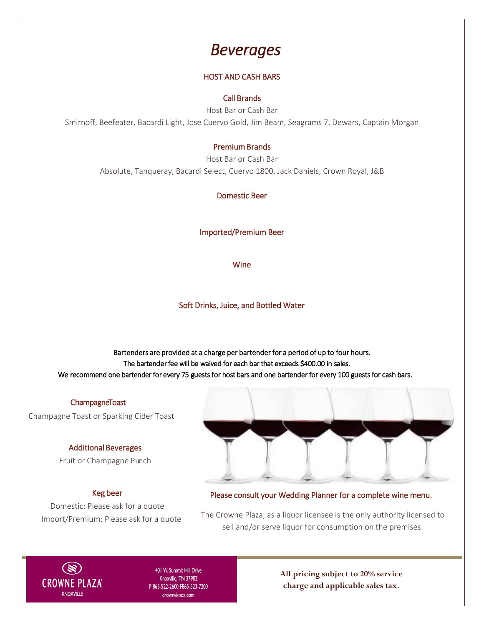### *Beverages*

### HOST AND CASH BARS

#### Call Brands

Host Bar or Cash Bar Smirnoff, Beefeater, Bacardi Light, Jose Cuervo Gold, Jim Beam, Seagrams 7, Dewars, Captain Morgan

#### Premium Brands

Host Bar or Cash Bar Absolute, Tanqueray, Bacardi Select, Cuervo 1800, Jack Daniels, Crown Royal, J&B

Domestic Beer

Imported/Premium Beer

Wine

Soft Drinks, Juice, and Bottled Water

Bartenders are provided at a charge per bartender for a period of up to four hours. The bartender fee will be waived for each bar that exceeds \$400.00 in sales. We recommend one bartender for every 75 guests for host bars and one bartender for every 100 guests for cash bars.

### ChampagneToast

Champagne Toast or Sparking Cider Toast

#### Additional Beverages

Fruit or Champagne Punch

#### Keg beer

Domestic: Please ask for a quote Import/Premium: Please ask for a quote



Please consult your Wedding Planner for a complete wine menu.

 The Crowne Plaza, as a liquor licensee is the only authority licensed to sell and/or serve liquor for consumption on the premises.



401 W. Summit Hill Drive Knoxville, TN 37902 P865-522-2600 F865-523-7200 crowneknox.com